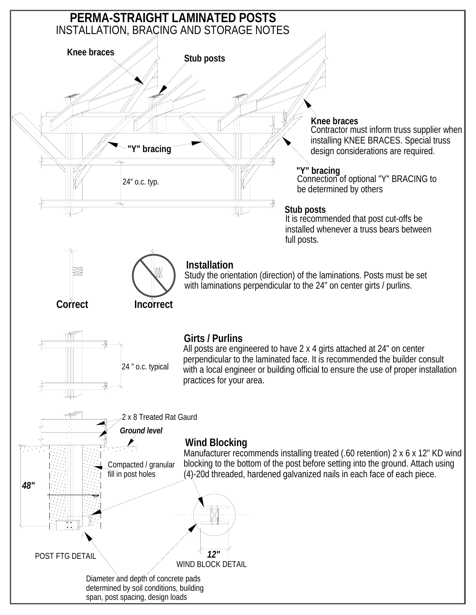